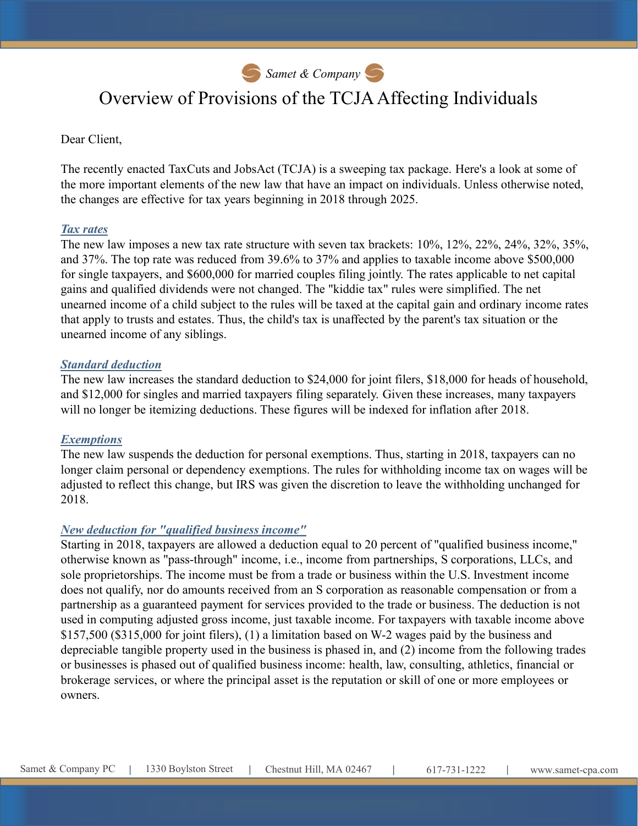Samet & Company

# Overview of Provisions of the TCJA Affecting Individuals

#### Dear Client,

**S** *Samet* & *Company* S<br>
Overview of Provisions of the TCJA Affecting Individuals<br>
Dear Client,<br>
The recently enacted TaxCuts and JobsAct (TCJA) is a sweeping tax package. Here's a look at some of<br>
the more important ele the more important elements of the new law that have an impact on individuals. Unless otherwise noted, the changes are effective for tax years beginning in 2018 through 2025.

#### Tax rates

The new law imposes a new tax rate structure with seven tax brackets: 10%, 12%, 22%, 24%, 32%, 35%, and 37%. The top rate was reduced from 39.6% to 37% and applies to taxable income above \$500,000 for single taxpayers, and \$600,000 for married couples filing jointly. The rates applicable to net capital gains and qualified dividends were not changed. The "kiddie tax" rules were simplified. The net unearned income of a child subject to the rules will be taxed at the capital gain and ordinary income rates that apply to trusts and estates. Thus, the child's tax is unaffected by the parent's tax situation or the unearned income of any siblings.

#### Standard deduction

The new law increases the standard deduction to \$24,000 for joint filers, \$18,000 for heads of household, and \$12,000 for singles and married taxpayers filing separately. Given these increases, many taxpayers will no longer be itemizing deductions. These figures will be indexed for inflation after 2018.

## **Exemptions**

The new law suspends the deduction for personal exemptions. Thus, starting in 2018, taxpayers can no longer claim personal or dependency exemptions. The rules for withholding income tax on wages will be adjusted to reflect this change, but IRS was given the discretion to leave the withholding unchanged for 2018.

## New deduction for "qualified business income"

2018.<br> *New deduction for "qualified business income"*<br>
Starting in 2018, taxpayers are allowed a deduction equal to 20 percent of "qualified business income,"<br>
Starting in 2018, taxpayers are allowed a deduction equal to Starting in 2018, taxpayers are allowed a deduction equal to 20 percent of "qualified business income," otherwise known as "pass-through" income, i.e., income from partnerships, S corporations, LLCs, and sole proprietorships. The income must be from a trade or business within the U.S. Investment income does not qualify, nor do amounts received from an S corporation as reasonable compensation or from a partnership as a guaranteed payment for services provided to the trade or business. The deduction is not used in computing adjusted gross income, just taxable income. For taxpayers with taxable income above \$157,500 (\$315,000 for joint filers), (1) a limitation based on W-2 wages paid by the business and depreciable tangible property used in the business is phased in, and (2) income from the following trades or businesses is phased out of qualified business income: health, law, consulting, athletics, financial or brokerage services, or where the principal asset is the reputation or skill of one or more employees or owners.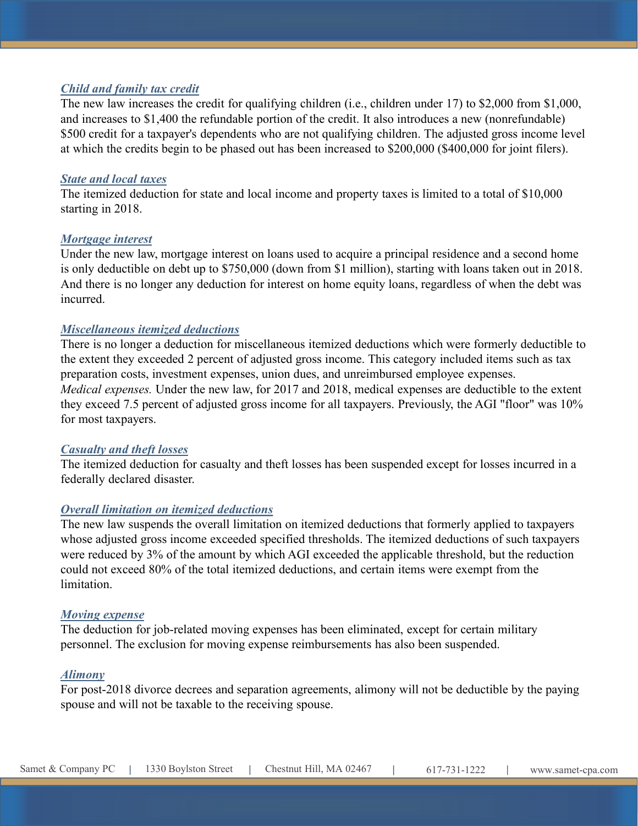# Child and family tax credit

The new law increases the credit for qualifying children (i.e., children under 17) to \$2,000 from \$1,000, and increases to \$1,400 the refundable portion of the credit. It also introduces a new (nonrefundable) \$500 credit for a taxpayer's dependents who are not qualifying children. The adjusted gross income level at which the credits begin to be phased out has been increased to \$200,000 (\$400,000 for joint filers).

#### State and local taxes

The itemized deduction for state and local income and property taxes is limited to a total of \$10,000 starting in 2018.

#### Mortgage interest

Under the new law, mortgage interest on loans used to acquire a principal residence and a second home is only deductible on debt up to \$750,000 (down from \$1 million), starting with loans taken out in 2018. And there is no longer any deduction for interest on home equity loans, regardless of when the debt was incurred.

#### Miscellaneous itemized deductions

There is no longer a deduction for miscellaneous itemized deductions which were formerly deductible to the extent they exceeded 2 percent of adjusted gross income. This category included items such as tax preparation costs, investment expenses, union dues, and unreimbursed employee expenses. Medical expenses. Under the new law, for 2017 and 2018, medical expenses are deductible to the extent they exceed 7.5 percent of adjusted gross income for all taxpayers. Previously, the AGI "floor" was 10% for most taxpayers.

#### Casualty and theft losses

The itemized deduction for casualty and theft losses has been suspended except for losses incurred in a federally declared disaster.

## Overall limitation on itemized deductions

<u>Overall limitation on itemized deductions</u><br>The new kusepads the overall limitation on itemized deductions that formerly applied to taxpayers<br>whose adjusted gross income exceeded specified thresholds. The itemized deducti The new law suspends the overall limitation on itemized deductions that formerly applied to taxpayers whose adjusted gross income exceeded specified thresholds. The itemized deductions of such taxpayers were reduced by 3% of the amount by which AGI exceeded the applicable threshold, but the reduction could not exceed 80% of the total itemized deductions, and certain items were exempt from the limitation.

#### Moving expense

The deduction for job-related moving expenses has been eliminated, except for certain military personnel. The exclusion for moving expense reimbursements has also been suspended.

#### Alimony

For post-2018 divorce decrees and separation agreements, alimony will not be deductible by the paying spouse and will not be taxable to the receiving spouse.